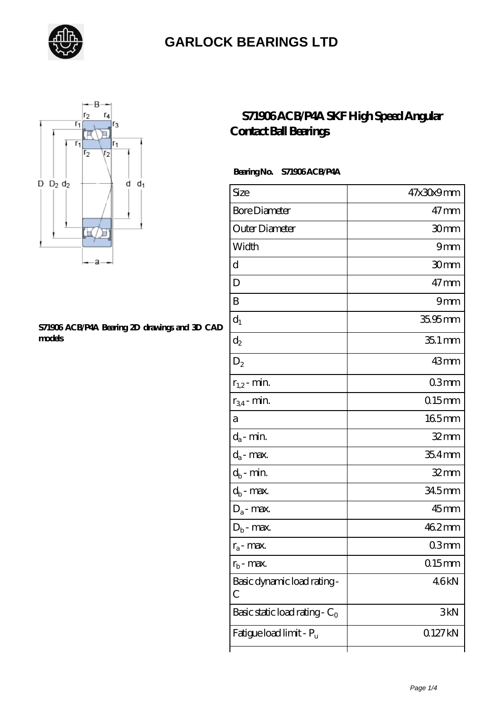



#### **[S71906 ACB/P4A Bearing 2D drawings and 3D CAD](https://letterstopriests.com/pic-934975.html) [models](https://letterstopriests.com/pic-934975.html)**

### **[S71906 ACB/P4A SKF High Speed Angular](https://letterstopriests.com/skf-bearing/s71906-acb-p4a.html) [Contact Ball Bearings](https://letterstopriests.com/skf-bearing/s71906-acb-p4a.html)**

#### **Bearing No. S71906 ACB/P4A**

| Size                             | 47x30x9mm           |
|----------------------------------|---------------------|
| <b>Bore Diameter</b>             | $47$ mm             |
| Outer Diameter                   | 30mm                |
| Width                            | 9mm                 |
| d                                | 30mm                |
| D                                | $47 \text{mm}$      |
| B                                | 9mm                 |
| $d_1$                            | 35.95mm             |
| $\mathrm{d}_2$                   | $351$ mm            |
| $D_2$                            | 43mm                |
| $r_{1,2}$ - min.                 | 03mm                |
| $r_{34}$ - min.                  | $015$ mm            |
| а                                | 165mm               |
| $d_a$ - min.                     | $32 \text{mm}$      |
| $d_a$ - max.                     | $354$ mm            |
| $d_b$ - min.                     | $32$ mm             |
| $d_b$ - max.                     | 345mm               |
| $D_a$ - max.                     | 45 <sub>mm</sub>    |
| $D_b$ - max.                     | 462mm               |
| $r_a$ - max.                     | 03mm                |
| $r_{\rm b}$ - max.               | 0.15mm              |
| Basic dynamic load rating-<br>С  | 46kN                |
| Basic static load rating - $C_0$ | 3kN                 |
| Fatigue load limit - Pu          | 0.127 <sub>kN</sub> |
|                                  |                     |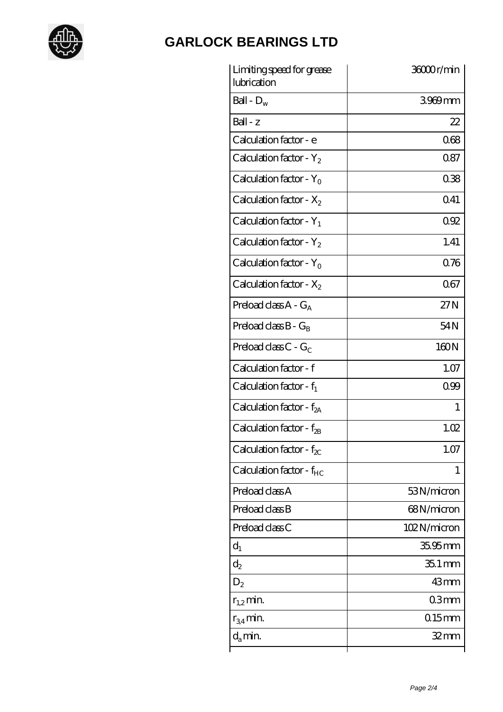

| Limiting speed for grease<br>lubrication | 36000r/min  |
|------------------------------------------|-------------|
| Ball - $D_w$                             | 3969mm      |
| $Ball - z$                               | 22          |
| Calculation factor - e                   | 068         |
| Calculation factor - $Y_2$               | 087         |
| Calculation factor - Y <sub>0</sub>      | 038         |
| Calculation factor - $X_2$               | 041         |
| Calculation factor - $Y_1$               | 092         |
| Calculation factor - $Y_2$               | 1.41        |
| Calculation factor - $Y_0$               | 0.76        |
| Calculation factor - $X_2$               | 067         |
| Preload class $A - G_A$                  | 27N         |
| Preload class $B - G_B$                  | 54N         |
| Preload class $C$ - $G_C$                | 160N        |
| Calculation factor - f                   | 1.07        |
| Calculation factor - $f_1$               | 0.99        |
| Calculation factor - $f_{2A}$            | 1           |
| Calculation factor - f <sub>2B</sub>     | 1.02        |
| Calculation factor - $f_{\chi}$          | 1.07        |
| Calculation factor - $f_{HC}$            | 1           |
| Preload class A                          | 53N/micron  |
| Preload class B                          | 68N/micron  |
| Preload class C                          | 102N/micron |
| $d_1$                                    | $3595$ mm   |
| $d_2$                                    | $351$ mm    |
| $D_2$                                    | 43mm        |
| $r_{1,2}$ min.                           | 03mm        |
| $r_{34}$ min.                            | $0.15$ mm   |
| $d_{a}$ min.                             | $32$ mm     |
|                                          |             |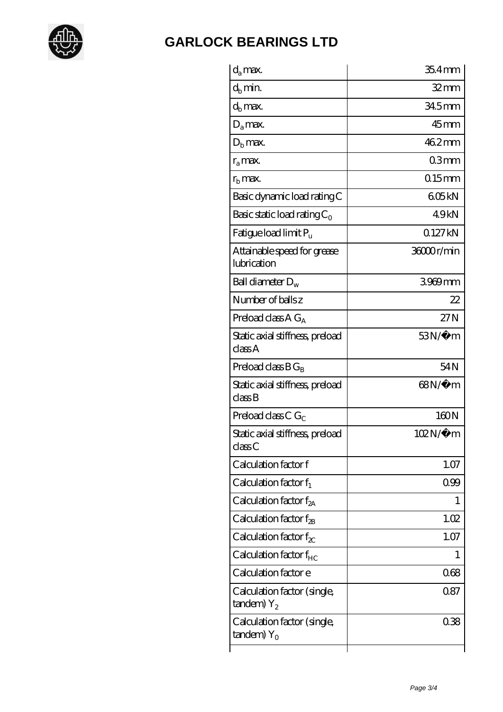

| $d_a$ max.                                      | $354$ mm     |
|-------------------------------------------------|--------------|
| $d_h$ min.                                      | 32mm         |
| $d_b$ max.                                      | 34.5mm       |
| $D_a$ max.                                      | $45$ mm      |
| $Db$ max.                                       | 462mm        |
| $r_a$ max.                                      | 03mm         |
| $rb$ max.                                       | $0.15$ mm    |
| Basic dynamic load rating C                     | 605kN        |
| Basic static load rating $C_0$                  | 49kN         |
| Fatigue load limit P <sub>u</sub>               | 0.127 kN     |
| Attainable speed for grease<br>lubrication      | 36000r/min   |
| Ball diameter $D_w$                             | 3969mm       |
| Number of balls z                               | 22           |
| Preload class A $G_A$                           | 27N          |
| Static axial stiffness, preload<br>classA       | $53N/\mu$ m  |
| Preload class $BG_R$                            | 54N          |
| Static axial stiffness, preload<br>classB       | 68N/μ m      |
| Preload class C $G_C$                           | 160N         |
| Static axial stiffness, preload<br>classC       | $102N/\mu$ m |
| Calculation factor f                            | 1.07         |
| Calculation factor $f_1$                        | 099          |
| C alculation factor $f_{2A}$                    | 1            |
| Calculation factor $f_{\mathcal{R}}$            | 1.02         |
| Calculation factor $f_{\chi}$                   | 1.07         |
| Calculation factor $f_{HC}$                     | 1            |
| Calculation factor e                            | 068          |
| Calculation factor (single,<br>$t$ andem) $Y_2$ | 0.87         |
| Calculation factor (single,<br>tandem) $Y_0$    | 038          |
|                                                 |              |